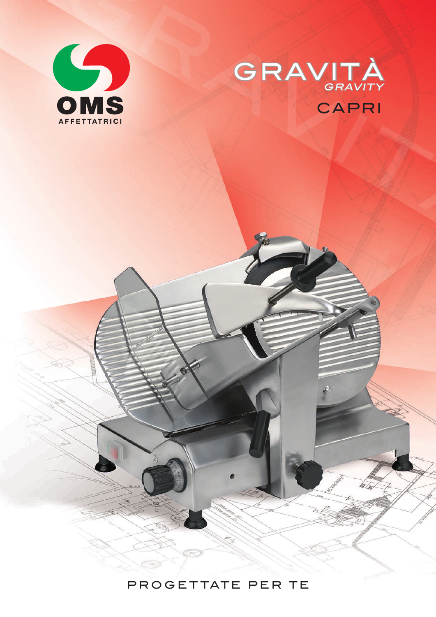



## PROGETTATE PER TE

 $C \rightarrow \mathbb{R}$